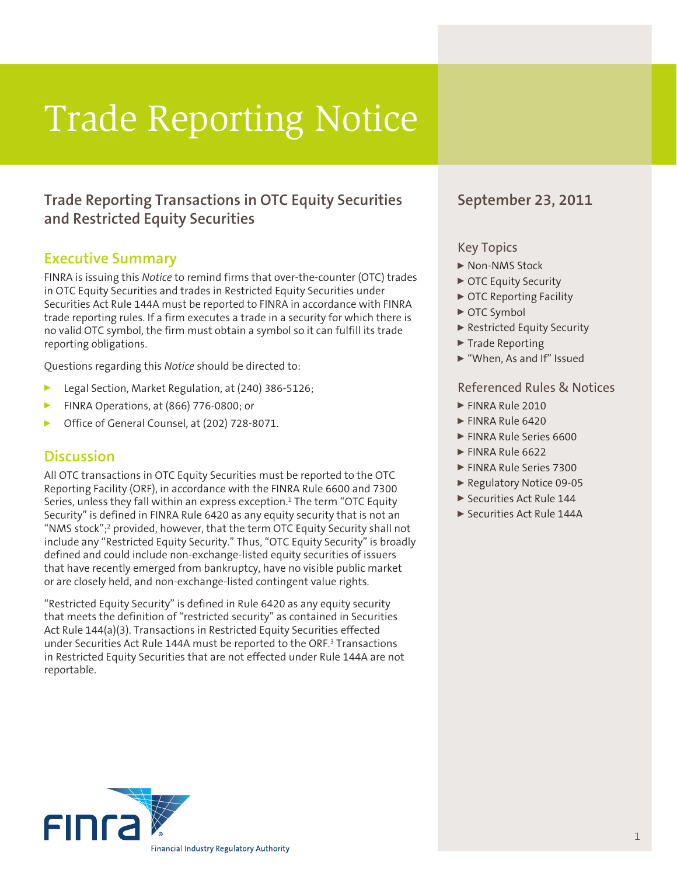# Trade Reporting Notice

## **Trade Reporting Transactions in OTC Equity Securities and Restricted Equity Securities**

## **Executive Summary**

FINRA is issuing this *Notice* to remind firms that over-the-counter (OTC) trades in OTC Equity Securities and trades in Restricted Equity Securities under Securities Act Rule 144A must be reported to FINRA in accordance with FINRA trade reporting rules. If a firm executes a trade in a security for which there is no valid OTC symbol, the firm must obtain a symbol so it can fulfill its trade reporting obligations.

Questions regarding this *Notice* should be directed to:

- Legal Section, Market Regulation, at (240) 386-5126;
- <sup>0</sup> FINRA Operations, at (866) 776-0800; or
- <sup>0</sup> Office of General Counsel, at (202) 728-8071.

#### **Discussion**

All OTC transactions in OTC Equity Securities must be reported to the OTC Reporting Facility (ORF), in accordance with the FINRA Rule 6600 and 7300 Series, unless they fall within an express exception. $^1$  The term "OTC Equity Security" is defined in FINRA Rule 6420 as any equity security that is not an "NMS stock";2 provided, however, that the term OTC Equity Security shall not include any "Restricted Equity Security." Thus, "OTC Equity Security" is broadly defined and could include non-exchange-listed equity securities of issuers that have recently emerged from bankruptcy, have no visible public market or are closely held, and non-exchange-listed contingent value rights.

"Restricted Equity Security" is defined in Rule 6420 as any equity security that meets the definition of "restricted security" as contained in Securities Act Rule 144(a)(3). Transactions in Restricted Equity Securities effected under Securities Act Rule 144A must be reported to the ORF.<sup>3</sup> Transactions in Restricted Equity Securities that are not effected under Rule 144A are not reportable.

### **September 23, 2011**

#### Key Topics

- ▶ Non-NMS Stock
- ▶ OTC Equity Security
- ▶ OTC Reporting Facility
- ▶ OTC Symbol
- ▶ Restricted Equity Security
- $\blacktriangleright$  Trade Reporting
- <sup>0</sup> "When, As and If" Issued

#### Referenced Rules & Notices

- **FINRA Rule 2010**
- **FINRA Rule 6420**
- **FINRA Rule Series 6600**
- $\blacktriangleright$  FINRA Rule 6622
- **FINRA Rule Series 7300**
- ▶ Regulatory Notice 09-05
- ▶ Securities Act Rule 144
- ▶ Securities Act Rule 144A

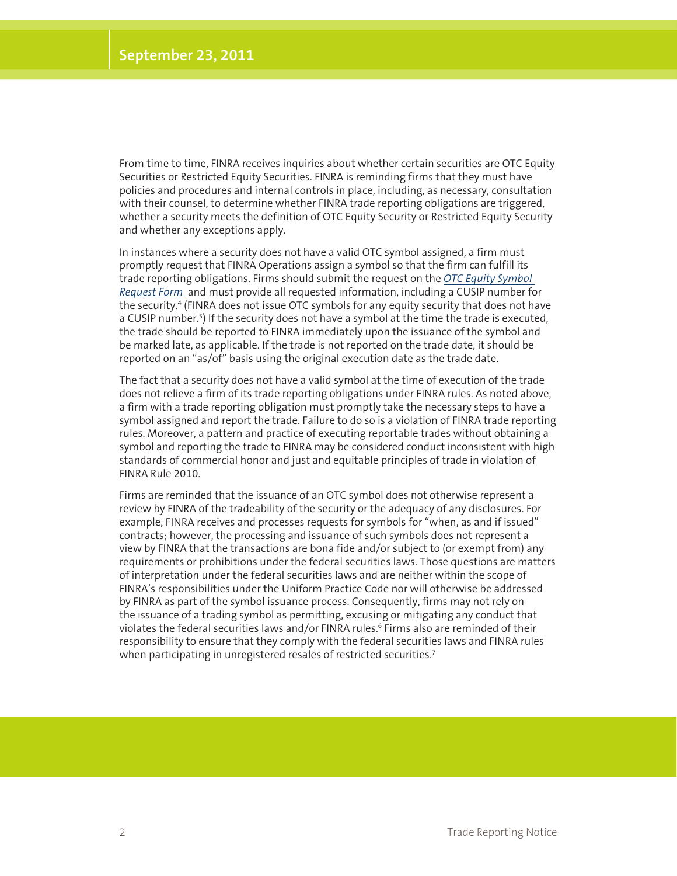From time to time, FINRA receives inquiries about whether certain securities are OTC Equity Securities or Restricted Equity Securities. FINRA is reminding firms that they must have policies and procedures and internal controls in place, including, as necessary, consultation with their counsel, to determine whether FINRA trade reporting obligations are triggered, whether a security meets the definition of OTC Equity Security or Restricted Equity Security and whether any exceptions apply.

In instances where a security does not have a valid OTC symbol assigned, a firm must promptly request that FINRA Operations assign a symbol so that the firm can fulfill its trade reporting obligations. Firms should submit the request on the *[OTC Equity Symbol](ftp://ftp.otcbb.com/symboldirectory/OTC%20Equity%20Symbol%20Request%20Form%20(print%20only).pdf)  [Request Form](ftp://ftp.otcbb.com/symboldirectory/OTC%20Equity%20Symbol%20Request%20Form%20(print%20only).pdf)* and must provide all requested information, including a CUSIP number for the security.<sup>4</sup> (FINRA does not issue OTC symbols for any equity security that does not have a CUSIP number.<sup>5</sup>) If the security does not have a symbol at the time the trade is executed, the trade should be reported to FINRA immediately upon the issuance of the symbol and be marked late, as applicable. If the trade is not reported on the trade date, it should be reported on an "as/of" basis using the original execution date as the trade date.

The fact that a security does not have a valid symbol at the time of execution of the trade does not relieve a firm of its trade reporting obligations under FINRA rules. As noted above, a firm with a trade reporting obligation must promptly take the necessary steps to have a symbol assigned and report the trade. Failure to do so is a violation of FINRA trade reporting rules. Moreover, a pattern and practice of executing reportable trades without obtaining a symbol and reporting the trade to FINRA may be considered conduct inconsistent with high standards of commercial honor and just and equitable principles of trade in violation of FINRA Rule 2010.

Firms are reminded that the issuance of an OTC symbol does not otherwise represent a review by FINRA of the tradeability of the security or the adequacy of any disclosures. For example, FINRA receives and processes requests for symbols for "when, as and if issued" contracts; however, the processing and issuance of such symbols does not represent a view by FINRA that the transactions are bona fide and/or subject to (or exempt from) any requirements or prohibitions under the federal securities laws. Those questions are matters of interpretation under the federal securities laws and are neither within the scope of FINRA's responsibilities under the Uniform Practice Code nor will otherwise be addressed by FINRA as part of the symbol issuance process. Consequently, firms may not rely on the issuance of a trading symbol as permitting, excusing or mitigating any conduct that violates the federal securities laws and/or FINRA rules.<sup>6</sup> Firms also are reminded of their responsibility to ensure that they comply with the federal securities laws and FINRA rules when participating in unregistered resales of restricted securities.<sup>7</sup>